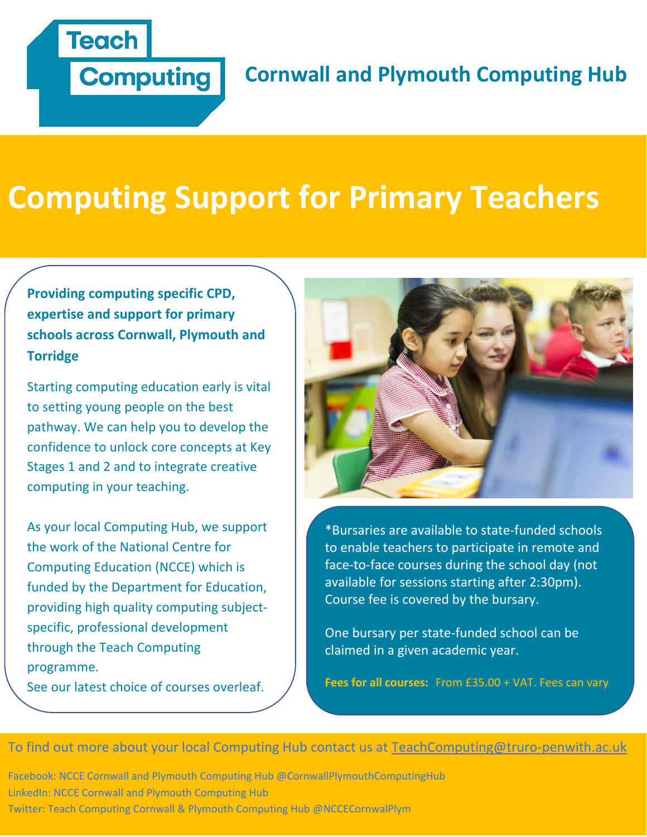

# **Cornwall and Plymouth Computing Hub**

# **Computing Support for Primary Teachers**

# **Providing computing specific CPD, expertise and support for primary schools across Cornwall, Plymouth and Torridge**

Starting computing education early is vital to setting young people on the best pathway. We can help you to develop the confidence to unlock core concepts at Key Stages 1 and 2 and to integrate creative computing in your teaching.

As your local Computing Hub, we support the work of the National Centre for Computing Education (NCCE) which is funded by the Department for Education, providing high quality computing subjectspecific, professional development through the Teach Computing programme.

See our latest choice of courses overleaf.



\*Bursaries are available to state-funded schools to enable teachers to participate in remote and face-to-face courses during the school day (not available for sessions starting after 2:30pm). Course fee is covered by the bursary.

One bursary per state-funded school can be claimed in a given academic year.

**Fees for all courses:** From £35.00 + VAT. Fees can vary

To find out more about your local Computing Hub contact us at [TeachComputing@truro-penwith.ac.uk](mailto:TeachComputing@truro-penwith.ac.uk)

Facebook: NCCE Cornwall and Plymouth Computing Hub @CornwallPlymouthComputingHub LinkedIn: NCCE Cornwall and Plymouth Computing Hub Twitter: Teach Computing Cornwall & Plymouth Computing Hub @NCCECornwalPlym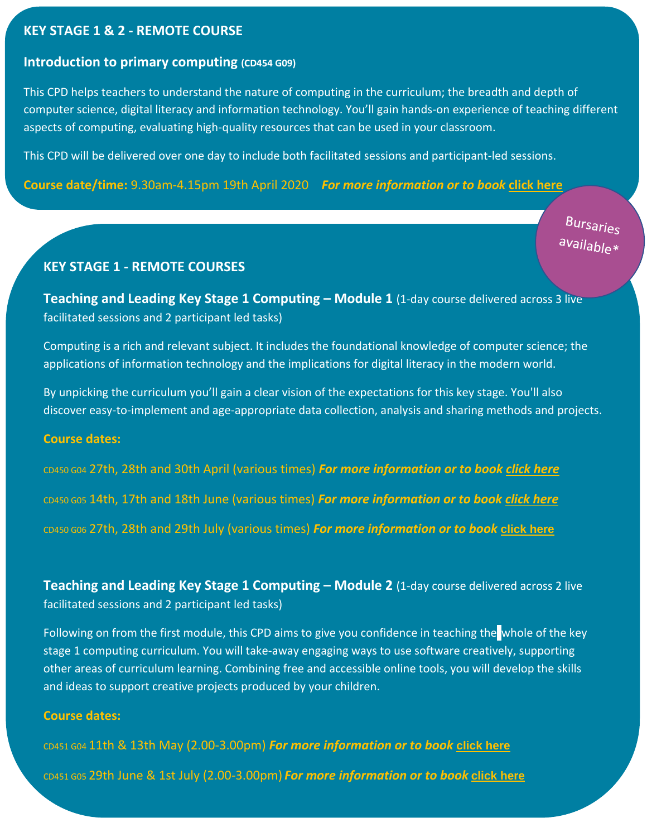# **KEY STAGE 1 & 2 - REMOTE COURSE**

#### **[Introduction](https://teachcomputing.org/courses/CP455/primary-programming-and-algorithms-remote) to primary computing (CD454 G09)**

This CPD helps teachers to understand the nature of computing in the curriculum; the breadth and depth of computer science, digital literacy and information technology. You'll gain hands-on experience of teaching different aspects of computing, evaluating high-quality resources that can be used in your classroom.

This CPD will be delivered over one day to include both facilitated sessions and participant-led sessions.

**Course date/time:** 9.30am-4.15pm 19th April 2020 *For more information or to book* **[click here](https://ncce.stem.org.uk/cpd/494145/introduction-primary-computing-remote)**

**Bursaries** available\*

#### **KEY STAGE 1 - REMOTE COURSES**

**Teaching and Leading Key Stage 1 Computing – Module 1** (1-day course delivered across 3 live facilitated sessions and 2 participant led tasks)

Computing is a rich and relevant subject. It includes the foundational knowledge of computer science; the applications of information technology and the implications for digital literacy in the modern world.

By unpicking the curriculum you'll gain a clear vision of the expectations for this key stage. You'll also discover easy-to-implement and age-appropriate data collection, analysis and sharing methods and projects.

#### **Course dates:**

CD450 G04 27th, 28th and 30th April (various times) *For more information or to book [click here](https://ncce.stem.org.uk/cpd/494147/teaching-and-leading-key-stage-1-computing-module-1-remote)* CD450 G05 14th, 17th and 18th June (various times) *For more information or to book [click here](https://ncce.stem.org.uk/cpd/494157/teaching-and-leading-key-stage-1-computing-module-1-remote)* CD450 G06 27th, 28th and 29th July (various times) *For more information or to book* **[click here](https://ncce.stem.org.uk/cpd/494187/teaching-and-leading-key-stage-1-computing-module-1-remote)**

**Teaching and Leading Key Stage 1 Computing – Module 2 (1-day course delivered across 2 live** facilitated sessions and 2 participant led tasks)

Following on from the first module, this CPD aims to give you confidence in teaching the whole of the key stage 1 computing curriculum. You will take-away engaging ways to use software creatively, supporting other areas of curriculum learning. Combining free and accessible online tools, you will develop the skills and ideas to support creative projects produced by your children.

#### **Course dates:**

CD451 G04 11th & 13th May (2.00-3.00pm) *For more information or to book* **[click here](https://ncce.stem.org.uk/cpd/494150/teaching-and-leading-key-stage-1-computing-module-2-remote)**

CD451 G05 29th June & 1st July (2.00-3.00pm) *For more information or to book* **[click here](https://ncce.stem.org.uk/cpd/494172/teaching-and-leading-key-stage-1-computing-module-2-remote)**